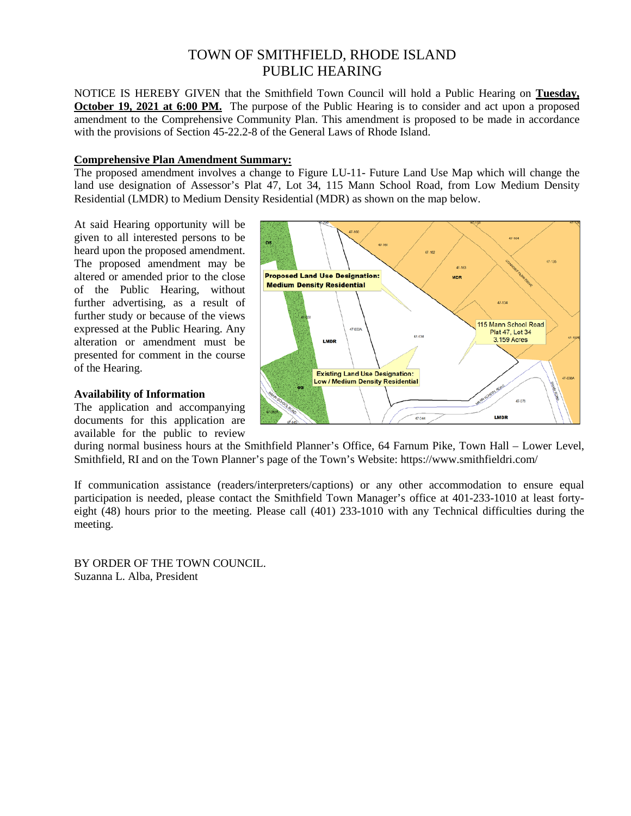# TOWN OF SMITHFIELD, RHODE ISLAND PUBLIC HEARING

NOTICE IS HEREBY GIVEN that the Smithfield Town Council will hold a Public Hearing on **Tuesday, October 19, 2021 at 6:00 PM.** The purpose of the Public Hearing is to consider and act upon a proposed amendment to the Comprehensive Community Plan. This amendment is proposed to be made in accordance with the provisions of Section 45-22.2-8 of the General Laws of Rhode Island.

#### **Comprehensive Plan Amendment Summary:**

The proposed amendment involves a change to Figure LU-11- Future Land Use Map which will change the land use designation of Assessor's Plat 47, Lot 34, 115 Mann School Road, from Low Medium Density Residential (LMDR) to Medium Density Residential (MDR) as shown on the map below.

At said Hearing opportunity will be given to all interested persons to be heard upon the proposed amendment. The proposed amendment may be altered or amended prior to the close of the Public Hearing, without further advertising, as a result of further study or because of the views expressed at the Public Hearing. Any alteration or amendment must be presented for comment in the course of the Hearing.

## **Availability of Information**

The application and accompanying documents for this application are available for the public to review



during normal business hours at the Smithfield Planner's Office, 64 Farnum Pike, Town Hall – Lower Level, Smithfield, RI and on the Town Planner's page of the Town's Website: https://www.smithfieldri.com/

If communication assistance (readers/interpreters/captions) or any other accommodation to ensure equal participation is needed, please contact the Smithfield Town Manager's office at 401-233-1010 at least fortyeight (48) hours prior to the meeting. Please call (401) 233-1010 with any Technical difficulties during the meeting.

BY ORDER OF THE TOWN COUNCIL. Suzanna L. Alba, President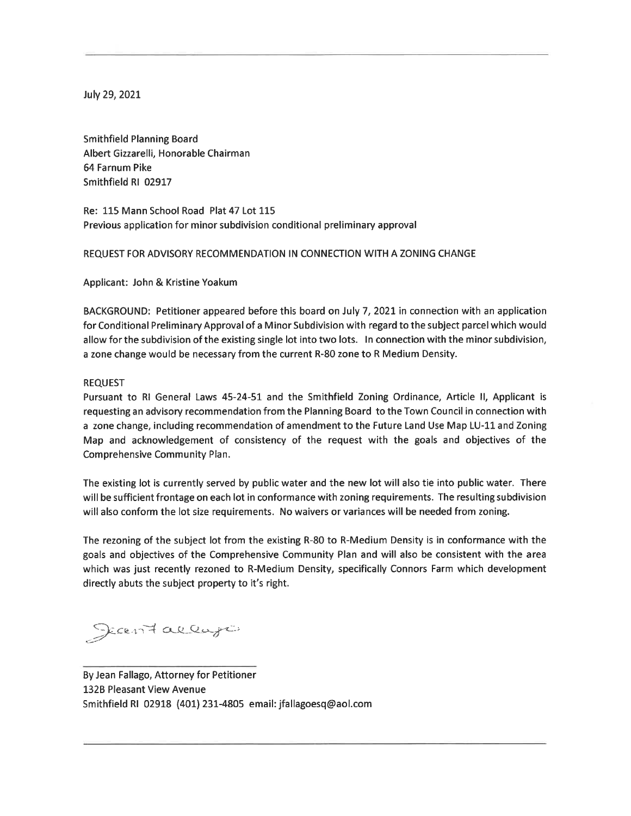July 29, 2021

**Smithfield Planning Board** Albert Gizzarelli, Honorable Chairman 64 Farnum Pike Smithfield RI 02917

Re: 115 Mann School Road Plat 47 Lot 115 Previous application for minor subdivision conditional preliminary approval

## REQUEST FOR ADVISORY RECOMMENDATION IN CONNECTION WITH A ZONING CHANGE

Applicant: John & Kristine Yoakum

BACKGROUND: Petitioner appeared before this board on July 7, 2021 in connection with an application for Conditional Preliminary Approval of a Minor Subdivision with regard to the subject parcel which would allow for the subdivision of the existing single lot into two lots. In connection with the minor subdivision, a zone change would be necessary from the current R-80 zone to R Medium Density.

#### **REQUEST**

Pursuant to RI General Laws 45-24-51 and the Smithfield Zoning Ordinance, Article II, Applicant is requesting an advisory recommendation from the Planning Board to the Town Council in connection with a zone change, including recommendation of amendment to the Future Land Use Map LU-11 and Zoning Map and acknowledgement of consistency of the request with the goals and objectives of the Comprehensive Community Plan.

The existing lot is currently served by public water and the new lot will also tie into public water. There will be sufficient frontage on each lot in conformance with zoning requirements. The resulting subdivision will also conform the lot size requirements. No waivers or variances will be needed from zoning.

The rezoning of the subject lot from the existing R-80 to R-Medium Density is in conformance with the goals and objectives of the Comprehensive Community Plan and will also be consistent with the area which was just recently rezoned to R-Medium Density, specifically Connors Farm which development directly abuts the subject property to it's right.

Jean Fallago

By Jean Fallago, Attorney for Petitioner 132B Pleasant View Avenue Smithfield RI 02918 (401) 231-4805 email: jfallagoesq@aol.com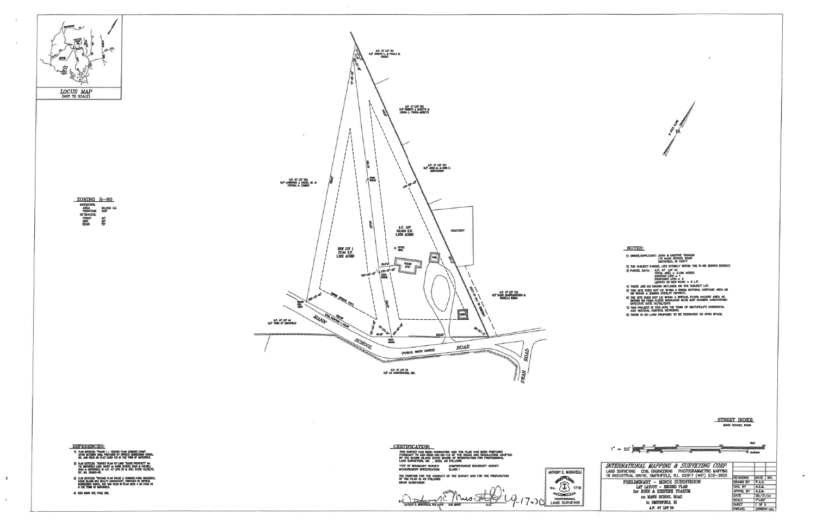

 $\mathbf{A}$ 

 $\mathbf{a}$  .



CERTIFICATION:<br>This survey has been conducted and the flan has been prepared<br>pursuant to 435–603–00–00–1,8 of the rules and regulations adopted<br>by the rhode island state board of registration for professional<br>land surveyor 2) PLAN ENTILED: "SURVEY PLAN OF LAND "SASSO PROPERTY" for<br>THE SMITHFIELD LAND TRUST on MANN SCHOOL ROAD & COUNCIL<br>ROAD In SMITHELD, RI A.P. 47 LOTS 33 & 454", DATED 10/28/13,<br>REF. MO. 150803-5P, type of Boundary Survey: Comprehensive Boundary Survey<br>Measurement Specification: CLASS ( ANTHONY E. MUSCATELLI the purpose for the conduct of the survey<br>Of the PLAN IS AS FOLLOWS:<br>Minor subdivision No. 23 1718 1) PLAN ENTITLED: "REDURO FLAN PHASE 2 CONNOISS FARM SMITHFIELD,<br>RHOOL ISLAND RFA REALLY ASSOCIATES", PREPARED BY DIPRETE<br>ENGINEEDWING ASSOCI, INC AND FILED IN PLAN BOOK 4 ON PAGE ISS<br>IN THE TOWN OF SMITHFIELD. 4) DEED BOOK 457, PAOE 388. 9.17-JO LAND SURVEYOR

| ٠                                                                                                                                                                                                                                                                |                                                                      |
|------------------------------------------------------------------------------------------------------------------------------------------------------------------------------------------------------------------------------------------------------------------|----------------------------------------------------------------------|
|                                                                                                                                                                                                                                                                  |                                                                      |
|                                                                                                                                                                                                                                                                  |                                                                      |
|                                                                                                                                                                                                                                                                  |                                                                      |
|                                                                                                                                                                                                                                                                  |                                                                      |
|                                                                                                                                                                                                                                                                  |                                                                      |
|                                                                                                                                                                                                                                                                  |                                                                      |
|                                                                                                                                                                                                                                                                  |                                                                      |
|                                                                                                                                                                                                                                                                  |                                                                      |
|                                                                                                                                                                                                                                                                  |                                                                      |
|                                                                                                                                                                                                                                                                  |                                                                      |
|                                                                                                                                                                                                                                                                  |                                                                      |
|                                                                                                                                                                                                                                                                  |                                                                      |
|                                                                                                                                                                                                                                                                  |                                                                      |
|                                                                                                                                                                                                                                                                  |                                                                      |
|                                                                                                                                                                                                                                                                  |                                                                      |
|                                                                                                                                                                                                                                                                  |                                                                      |
| <b>NOTES:</b>                                                                                                                                                                                                                                                    |                                                                      |
| 1) OWNER/APPLICANT: JOHN & KRISTINE YOAKUM<br>115 MANN SCHOOL ROAD                                                                                                                                                                                               |                                                                      |
| SMITHFIELD, RI 02817<br>2) THE SUBJECT PARCEL LIES ENTIRELY WITHIN THE R-80 ZONING DISTRICT.                                                                                                                                                                     |                                                                      |
| A.P. 47 LOT 34<br>TOTAL AREA = 3.159 ACRES<br>EXISTING LOTS = 1<br>LENGTH OF NEW ROAD = 0 L.F.<br>LENGTH OF NEW ROAD = 0 L.F.<br>3) PARCEL DATA:                                                                                                                 |                                                                      |
| 4) THERE ARE NO KNOWN WETLANDS ON THE SUBJECT LOT.                                                                                                                                                                                                               |                                                                      |
| 5) THIS SITE DOES NOT LIE WITHIN A RIDEM NATURAL HERITAGE AREA OR WITHIN A ZONING OVERLAY DISTRICT.<br>8) THE SITE DOES NOT LIE WITHIN A SPECIAL FLOOD HAZARD AREA AS<br>SHOWN ON FEMA FLOOD BISJRANCE RATE MAP NUMBER 4400700168H<br>EFFECTIVE DATE 10/02/2016. |                                                                      |
| 7) THIS PROJECT IS TIED INTO THE TOWN OF SMITHFIELD'S HORIZONTAL AND VERTICAL CONTROL NETWORKS.                                                                                                                                                                  |                                                                      |
| 8) THERE IS NO LAND PROPOSED TO BE DEDICATED AS OPEN SPACE.                                                                                                                                                                                                      |                                                                      |
|                                                                                                                                                                                                                                                                  |                                                                      |
|                                                                                                                                                                                                                                                                  |                                                                      |
|                                                                                                                                                                                                                                                                  |                                                                      |
|                                                                                                                                                                                                                                                                  |                                                                      |
|                                                                                                                                                                                                                                                                  |                                                                      |
|                                                                                                                                                                                                                                                                  |                                                                      |
|                                                                                                                                                                                                                                                                  |                                                                      |
|                                                                                                                                                                                                                                                                  |                                                                      |
|                                                                                                                                                                                                                                                                  |                                                                      |
|                                                                                                                                                                                                                                                                  | STREET INDEX.<br>MANN SCHOOL ROAD                                    |
|                                                                                                                                                                                                                                                                  |                                                                      |
|                                                                                                                                                                                                                                                                  |                                                                      |
|                                                                                                                                                                                                                                                                  | funt                                                                 |
| $1'' = 50'$<br><b>Same Adams</b>                                                                                                                                                                                                                                 | ili metera                                                           |
| INTERNATIONAL MAPPING & SURVEYING CORP.                                                                                                                                                                                                                          |                                                                      |
| LAND SURVEYING CIVIL ENGINEERING PHOTOGRAMMETRIC MAPPING<br>19 INDUSTRIAL DRIVE, SMITHFIELD, R.I. 02917 (401) 232-2620                                                                                                                                           | <b>REVISIONS</b>                                                     |
| PRELIMINARY - MINOR SUBDIVISION<br>LAT LAYOUT - RECORD PLAN                                                                                                                                                                                                      | DATE NO.<br><b>DRAWN BY</b><br>P.A.K.<br>CKD. BY<br>A.E.M.           |
| for JOHN & KRISTINE YOAKUM<br>on MANN SCHOOL ROAD                                                                                                                                                                                                                | APPRD. BY<br>A.E.M.<br>09/17/20<br>DATE<br>$1 - 50'$<br><b>SCALE</b> |

 $\epsilon$